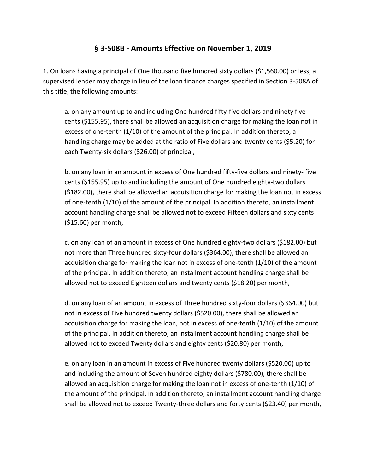## **§ 3-508B - Amounts Effective on November 1, 2019**

1. On loans having a principal of One thousand five hundred sixty dollars (\$1,560.00) or less, a supervised lender may charge in lieu of the loan finance charges specified in Section 3-508A of this title, the following amounts:

a. on any amount up to and including One hundred fifty-five dollars and ninety five cents (\$155.95), there shall be allowed an acquisition charge for making the loan not in excess of one-tenth (1/10) of the amount of the principal. In addition thereto, a handling charge may be added at the ratio of Five dollars and twenty cents (\$5.20) for each Twenty-six dollars (\$26.00) of principal,

b. on any loan in an amount in excess of One hundred fifty-five dollars and ninety- five cents (\$155.95) up to and including the amount of One hundred eighty-two dollars (\$182.00), there shall be allowed an acquisition charge for making the loan not in excess of one-tenth (1/10) of the amount of the principal. In addition thereto, an installment account handling charge shall be allowed not to exceed Fifteen dollars and sixty cents (\$15.60) per month,

c. on any loan of an amount in excess of One hundred eighty-two dollars (\$182.00) but not more than Three hundred sixty-four dollars (\$364.00), there shall be allowed an acquisition charge for making the loan not in excess of one-tenth (1/10) of the amount of the principal. In addition thereto, an installment account handling charge shall be allowed not to exceed Eighteen dollars and twenty cents (\$18.20) per month,

d. on any loan of an amount in excess of Three hundred sixty-four dollars (\$364.00) but not in excess of Five hundred twenty dollars (\$520.00), there shall be allowed an acquisition charge for making the loan, not in excess of one-tenth (1/10) of the amount of the principal. In addition thereto, an installment account handling charge shall be allowed not to exceed Twenty dollars and eighty cents (\$20.80) per month,

e. on any loan in an amount in excess of Five hundred twenty dollars (\$520.00) up to and including the amount of Seven hundred eighty dollars (\$780.00), there shall be allowed an acquisition charge for making the loan not in excess of one-tenth (1/10) of the amount of the principal. In addition thereto, an installment account handling charge shall be allowed not to exceed Twenty-three dollars and forty cents (\$23.40) per month,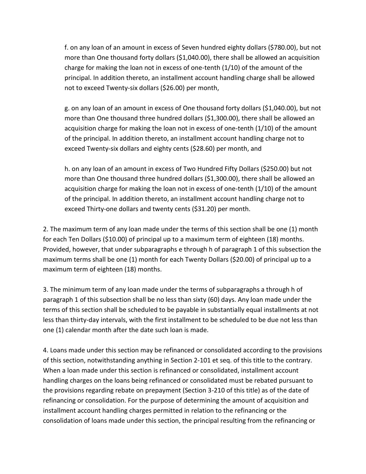f. on any loan of an amount in excess of Seven hundred eighty dollars (\$780.00), but not more than One thousand forty dollars (\$1,040.00), there shall be allowed an acquisition charge for making the loan not in excess of one-tenth (1/10) of the amount of the principal. In addition thereto, an installment account handling charge shall be allowed not to exceed Twenty-six dollars (\$26.00) per month,

g. on any loan of an amount in excess of One thousand forty dollars (\$1,040.00), but not more than One thousand three hundred dollars (\$1,300.00), there shall be allowed an acquisition charge for making the loan not in excess of one-tenth (1/10) of the amount of the principal. In addition thereto, an installment account handling charge not to exceed Twenty-six dollars and eighty cents (\$28.60) per month, and

h. on any loan of an amount in excess of Two Hundred Fifty Dollars (\$250.00) but not more than One thousand three hundred dollars (\$1,300.00), there shall be allowed an acquisition charge for making the loan not in excess of one-tenth (1/10) of the amount of the principal. In addition thereto, an installment account handling charge not to exceed Thirty-one dollars and twenty cents (\$31.20) per month.

2. The maximum term of any loan made under the terms of this section shall be one (1) month for each Ten Dollars (\$10.00) of principal up to a maximum term of eighteen (18) months. Provided, however, that under subparagraphs e through h of paragraph 1 of this subsection the maximum terms shall be one (1) month for each Twenty Dollars (\$20.00) of principal up to a maximum term of eighteen (18) months.

3. The minimum term of any loan made under the terms of subparagraphs a through h of paragraph 1 of this subsection shall be no less than sixty (60) days. Any loan made under the terms of this section shall be scheduled to be payable in substantially equal installments at not less than thirty-day intervals, with the first installment to be scheduled to be due not less than one (1) calendar month after the date such loan is made.

4. Loans made under this section may be refinanced or consolidated according to the provisions of this section, notwithstanding anything in Section 2-101 et seq. of this title to the contrary. When a loan made under this section is refinanced or consolidated, installment account handling charges on the loans being refinanced or consolidated must be rebated pursuant to the provisions regarding rebate on prepayment (Section 3-210 of this title) as of the date of refinancing or consolidation. For the purpose of determining the amount of acquisition and installment account handling charges permitted in relation to the refinancing or the consolidation of loans made under this section, the principal resulting from the refinancing or